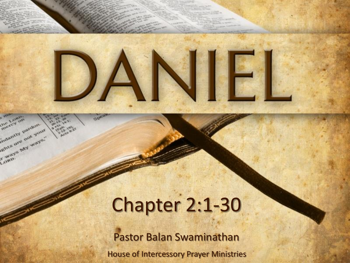

Longi mercy on

indurate pardon indiantly pardon

Louis's My ways."

# Chapter 2:1-30

House of Intercessory Prayer Ministries Pastor Balan Swaminathan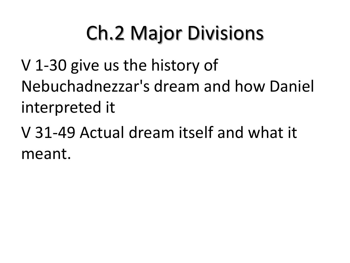# Ch.2 Major Divisions

V 1-30 give us the history of Nebuchadnezzar's dream and how Daniel interpreted it

V 31-49 Actual dream itself and what it meant.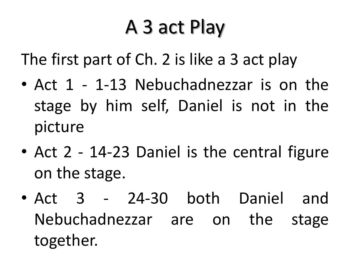## A 3 act Play

The first part of Ch. 2 is like a 3 act play

- Act 1 1-13 Nebuchadnezzar is on the stage by him self, Daniel is not in the picture
- Act 2 14-23 Daniel is the central figure on the stage.
- Act 3 24-30 both Daniel and Nebuchadnezzar are on the stage together.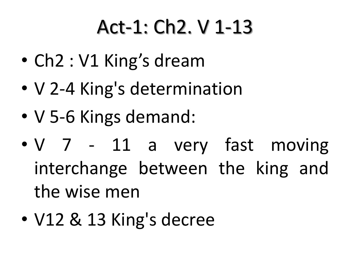## Act-1: Ch2. V 1-13

- Ch2 : V1 King's dream
- V 2-4 King's determination
- V 5-6 Kings demand:
- V 7 11 a very fast moving interchange between the king and the wise men
- V12 & 13 King's decree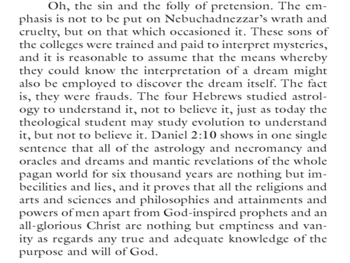Oh, the sin and the folly of pretension. The emphasis is not to be put on Nebuchadnezzar's wrath and cruelty, but on that which occasioned it. These sons of the colleges were trained and paid to interpret mysteries, and it is reasonable to assume that the means whereby they could know the interpretation of a dream might also be employed to discover the dream itself. The fact is, they were frauds. The four Hebrews studied astrology to understand it, not to believe it, just as today the theological student may study evolution to understand it, but not to believe it. Daniel 2:10 shows in one single sentence that all of the astrology and necromancy and oracles and dreams and mantic revelations of the whole pagan world for six thousand years are nothing but imbecilities and lies, and it proves that all the religions and arts and sciences and philosophies and attainments and powers of men apart from God-inspired prophets and an all-glorious Christ are nothing but emptiness and vanity as regards any true and adequate knowledge of the purpose and will of God.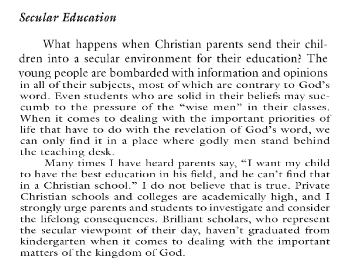#### **Secular Education**

What happens when Christian parents send their children into a secular environment for their education? The young people are bombarded with information and opinions in all of their subjects, most of which are contrary to God's word. Even students who are solid in their beliefs may succumb to the pressure of the "wise men" in their classes. When it comes to dealing with the important priorities of life that have to do with the revelation of God's word, we can only find it in a place where godly men stand behind the teaching desk.

Many times I have heard parents say, "I want my child to have the best education in his field, and he can't find that in a Christian school." I do not believe that is true. Private Christian schools and colleges are academically high, and I strongly urge parents and students to investigate and consider the lifelong consequences. Brilliant scholars, who represent the secular viewpoint of their day, haven't graduated from kindergarten when it comes to dealing with the important matters of the kingdom of God.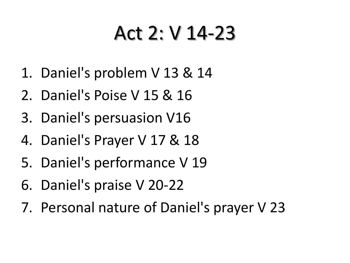#### Act 2: V 14-23

- 1. Daniel's problem V 13 & 14
- 2. Daniel's Poise V 15 & 16
- 3. Daniel's persuasion V16
- 4. Daniel's Prayer V 17 & 18
- 5. Daniel's performance V 19
- 6. Daniel's praise V 20-22
- 7. Personal nature of Daniel's prayer V 23